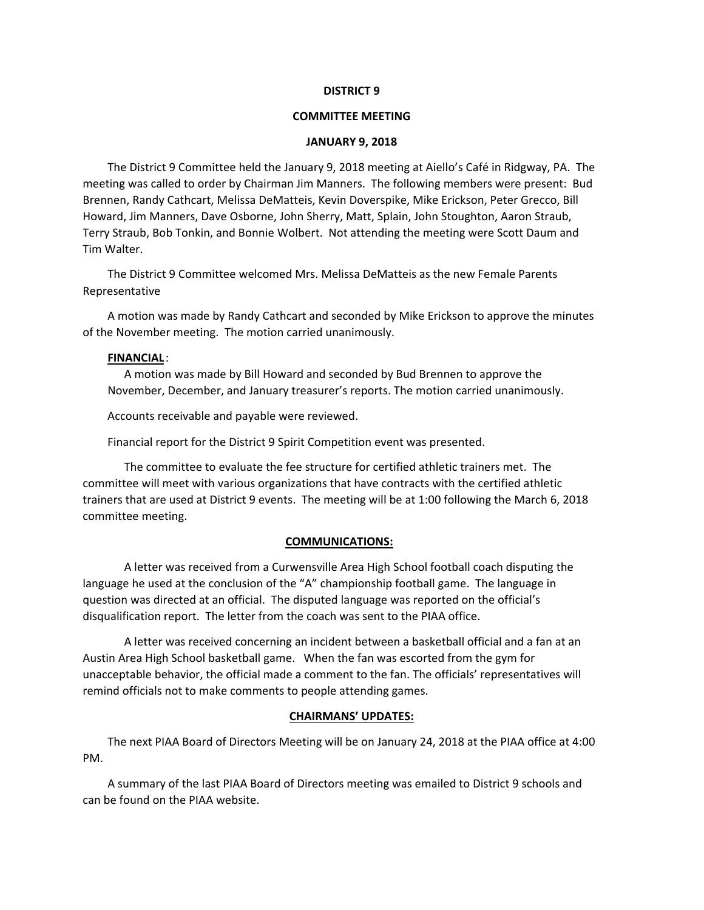### **DISTRICT 9**

### **COMMITTEE MEETING**

### **JANUARY 9, 2018**

The District 9 Committee held the January 9, 2018 meeting at Aiello's Café in Ridgway, PA. The meeting was called to order by Chairman Jim Manners. The following members were present: Bud Brennen, Randy Cathcart, Melissa DeMatteis, Kevin Doverspike, Mike Erickson, Peter Grecco, Bill Howard, Jim Manners, Dave Osborne, John Sherry, Matt, Splain, John Stoughton, Aaron Straub, Terry Straub, Bob Tonkin, and Bonnie Wolbert. Not attending the meeting were Scott Daum and Tim Walter.

The District 9 Committee welcomed Mrs. Melissa DeMatteis as the new Female Parents Representative

A motion was made by Randy Cathcart and seconded by Mike Erickson to approve the minutes of the November meeting. The motion carried unanimously.

# **FINANCIAL** :

A motion was made by Bill Howard and seconded by Bud Brennen to approve the November, December, and January treasurer's reports. The motion carried unanimously.

Accounts receivable and payable were reviewed.

Financial report for the District 9 Spirit Competition event was presented.

The committee to evaluate the fee structure for certified athletic trainers met. The committee will meet with various organizations that have contracts with the certified athletic trainers that are used at District 9 events. The meeting will be at 1:00 following the March 6, 2018 committee meeting.

### **COMMUNICATIONS:**

A letter was received from a Curwensville Area High School football coach disputing the language he used at the conclusion of the "A" championship football game. The language in question was directed at an official. The disputed language was reported on the official's disqualification report. The letter from the coach was sent to the PIAA office.

A letter was received concerning an incident between a basketball official and a fan at an Austin Area High School basketball game. When the fan was escorted from the gym for unacceptable behavior, the official made a comment to the fan. The officials' representatives will remind officials not to make comments to people attending games.

# **CHAIRMANS' UPDATES:**

The next PIAA Board of Directors Meeting will be on January 24, 2018 at the PIAA office at 4:00 PM.

A summary of the last PIAA Board of Directors meeting was emailed to District 9 schools and can be found on the PIAA website.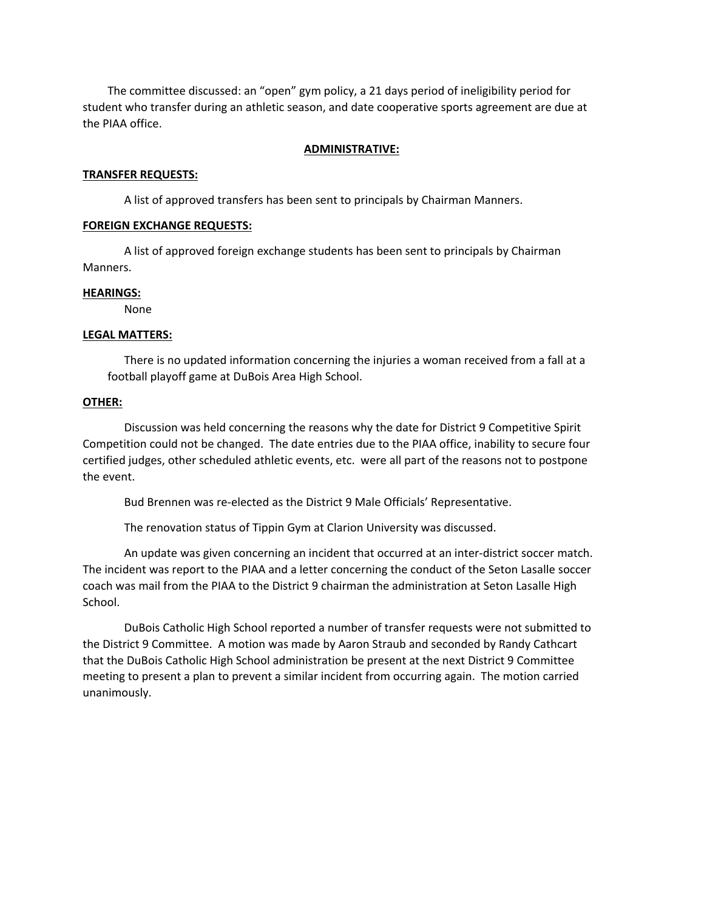The committee discussed: an "open" gym policy, a 21 days period of ineligibility period for student who transfer during an athletic season, and date cooperative sports agreement are due at the PIAA office.

#### **ADMINISTRATIVE:**

#### **TRANSFER REQUESTS:**

A list of approved transfers has been sent to principals by Chairman Manners.

### **FOREIGN EXCHANGE REQUESTS:**

A list of approved foreign exchange students has been sent to principals by Chairman Manners.

#### **HEARINGS:**

None

### **LEGAL MATTERS:**

There is no updated information concerning the injuries a woman received from a fall at a football playoff game at DuBois Area High School.

# **OTHER:**

Discussion was held concerning the reasons why the date for District 9 Competitive Spirit Competition could not be changed. The date entries due to the PIAA office, inability to secure four certified judges, other scheduled athletic events, etc. were all part of the reasons not to postpone the event.

Bud Brennen was re‐elected as the District 9 Male Officials' Representative.

The renovation status of Tippin Gym at Clarion University was discussed.

An update was given concerning an incident that occurred at an inter-district soccer match. The incident was report to the PIAA and a letter concerning the conduct of the Seton Lasalle soccer coach was mail from the PIAA to the District 9 chairman the administration at Seton Lasalle High School.

DuBois Catholic High School reported a number of transfer requests were not submitted to the District 9 Committee. A motion was made by Aaron Straub and seconded by Randy Cathcart that the DuBois Catholic High School administration be present at the next District 9 Committee meeting to present a plan to prevent a similar incident from occurring again. The motion carried unanimously.